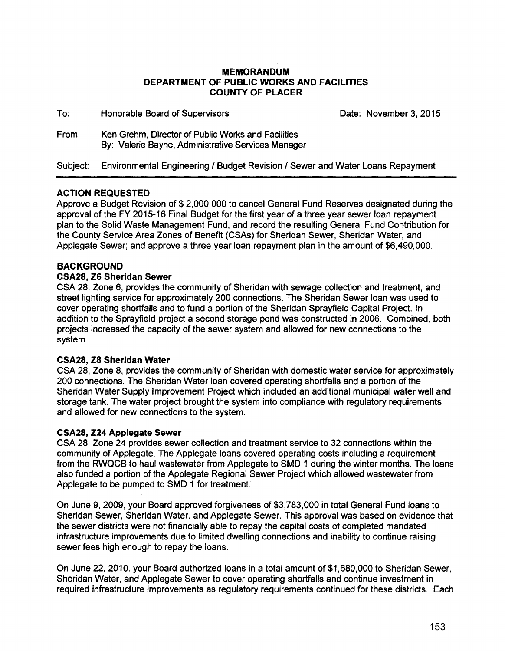## **MEMORANDUM DEPARTMENT OF PUBLIC WORKS AND FACILITIES COUNTY OF PLACER**

| To:      | Honorable Board of Supervisors                                                                           | Date: November 3, 2015 |
|----------|----------------------------------------------------------------------------------------------------------|------------------------|
| From:    | Ken Grehm, Director of Public Works and Facilities<br>By: Valerie Bayne, Administrative Services Manager |                        |
| Subject: | Environmental Engineering / Budget Revision / Sewer and Water Loans Repayment                            |                        |

# **ACTION REQUESTED**

Approve a Budget Revision of \$ 2,000,000 to cancel General Fund Reserves designated during the approval of the FY 2015-16 Final Budget for the first year of a three year sewer loan repayment plan to the Solid Waste Management Fund, and record the resulting General Fund Contribution for the County Service Area Zones of Benefit (CSAs) for Sheridan Sewer, Sheridan Water, and Applegate Sewer; and approve a three year loan repayment plan in the amount of \$6,490,000.

# **BACKGROUND**

#### **CSA28, Z6 Sheridan Sewer**

CSA 28, Zone 6, provides the community of Sheridan with sewage collection and treatment, and street lighting service for approximately 200 connections. The Sheridan Sewer loan was used to cover operating shortfalls and to fund a portion of the Sheridan Sprayfield Capital Project. In addition to the Sprayfield project a second storage pond was constructed in 2006. Combined, both projects increased the capacity of the sewer system and allowed for new connections to the system.

#### **CSA28, Z8 Sheridan Water**

CSA 28, Zone 8, provides the community of Sheridan with domestic water service for approximately 200 connections. The Sheridan Water loan covered operating shortfalls and a portion of the Sheridan Water Supply Improvement Project which included an additional municipal water well and storage tank. The water project brought the system into compliance with regulatory requirements and allowed for new connections to the system.

#### **CSA28, Z24 Applegate Sewer**

CSA 28, Zone 24 provides sewer collection and treatment service to 32 connections within the community of Applegate. The Applegate loans covered operating costs including a requirement from the RWQCB to haul wastewater from Applegate to SMD 1 during the winter months. The loans also funded a portion of the Applegate Regional Sewer Project which allowed wastewater from Applegate to be pumped to SMD 1 for treatment.

On June 9, 2009, your Board approved forgiveness of \$3,783,000 in total General Fund loans to Sheridan Sewer, Sheridan Water, and Applegate Sewer. This approval was based on evidence that the sewer districts were not financially able to repay the capital costs of completed mandated infrastructure improvements due to limited dwelling connections and inability to continue raising sewer fees high enough to repay the loans.

On June 22, 2010, your Board authorized loans in a total amount of \$1,680,000 to Sheridan Sewer, Sheridan Water, and Applegate Sewer to cover operating shortfalls and continue investment in required infrastructure improvements as regulatory requirements continued for these districts. Each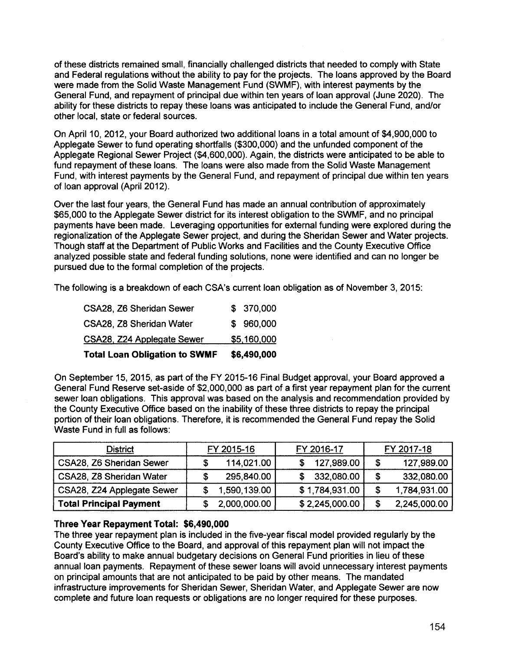of these districts remained small, financially challenged districts that needed to comply with State and Federal regulations without the ability to pay for the projects. The loans approved by the Board were made from the Solid Waste Management Fund (SWMF), with interest payments by the General Fund, and repayment of principal due within ten years of loan approval (June 2020). The ability for these districts to repay these loans was anticipated to include the General Fund, and/or other local, state or federal sources.

On April 10, 2012, your Board authorized two additional loans in a total amount of \$4,900,000 to Applegate Sewer to fund operating shortfalls (\$300,000) and the unfunded component of the Applegate Regional Sewer Project (\$4,600,000). Again, the districts were anticipated to be able to fund repayment of these loans. The loans were also made from the Solid Waste Management Fund, with interest payments by the General Fund, and repayment of principal due within ten years of loan approval (April 2012).

Over the last four years, the General Fund has made an annual contribution of approximately \$65,000 to the Applegate Sewer district for its interest obligation to the SWMF, and no principal payments have been made. Leveraging opportunities for external funding were explored during the regionalization of the Applegate Sewer project, and during the Sheridan Sewer and Water projects. Though staff at the Department of Public Works and Facilities and the County Executive Office analyzed possible state and federal funding solutions, none were identified and can no longer be pursued due to the formal completion of the projects.

The following is a breakdown of each CSA's current loan obligation as of November 3, 2015:

| <b>Total Loan Obligation to SWMF</b> | \$6,490,000 |
|--------------------------------------|-------------|
| <b>CSA28, Z24 Applegate Sewer</b>    | \$5,160,000 |
| CSA28, Z8 Sheridan Water             | \$960,000   |
| <b>CSA28, Z6 Sheridan Sewer</b>      | \$ 370,000  |

On September 15, 2015, as part of the FY 2015-16 Final Budget approval, your Board approved a General Fund Reserve set-aside of \$2,000,000 as part of a first year repayment plan for the current sewer loan obligations. This approval was based on the analysis and recommendation provided by the County Executive Office based on the inability of these three districts to repay the principal portion of their loan obligations. Therefore, it is recommended the General Fund repay the Solid Waste Fund in full as follows:

| <b>District</b>                | FY 2015-16   | FY 2016-17     | FY 2017-18 |              |  |  |
|--------------------------------|--------------|----------------|------------|--------------|--|--|
| CSA28, Z6 Sheridan Sewer       | 114,021.00   | 127,989.00     | \$         | 127,989.00   |  |  |
| CSA28, Z8 Sheridan Water       | 295,840.00   | 332,080.00     | S          | 332,080.00   |  |  |
| CSA28, Z24 Applegate Sewer     | 1,590,139.00 | \$1,784,931.00 | S.         | 1,784,931.00 |  |  |
| <b>Total Principal Payment</b> | 2,000,000.00 | \$2,245,000.00 |            | 2,245,000.00 |  |  |

# **Three Year Repayment Total: \$6,490,000**

The three year repayment plan is included in the five-year fiscal model provided regularly by the County Executive Office to the Board, and approval of this repayment plan will not impact the Board's ability to make annual budgetary decisions on General Fund priorities in lieu of these annual loan payments. Repayment of these sewer loans will avoid unnecessary interest payments on principal amounts that are not anticipated to be paid by other means. The mandated infrastructure improvements for Sheridan Sewer, Sheridan Water, and Applegate Sewer are now complete and future loan requests or obligations are no longer required for these purposes.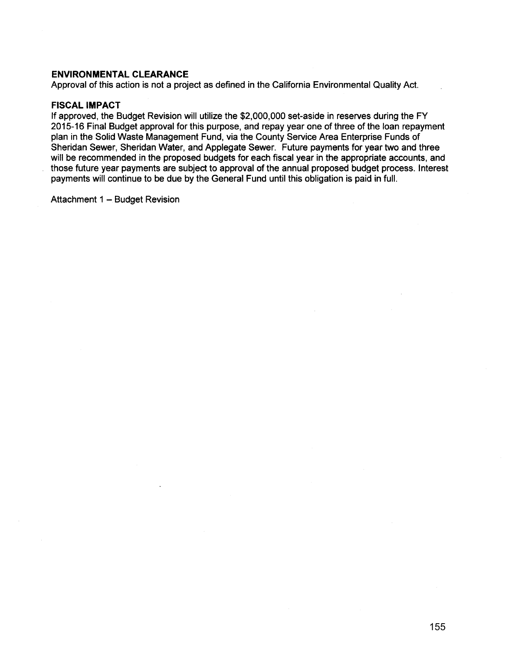### **ENVIRONMENTAL CLEARANCE**

Approval of this action is not a project as defined in the California Environmental Quality Act.

### **FISCAL IMPACT**

If approved, the Budget Revision will utilize the \$2,000,000 set-aside in reserves during the FY 2015-16 Final Budget approval for this purpose, and repay year one of three of the loan repayment plan in the Solid Waste Management Fund, via the County Service Area Enterprise Funds of Sheridan Sewer, Sheridan Water, and Applegate Sewer. Future payments for year two and three will be recommended in the proposed budgets for each fiscal year in the appropriate accounts, and those future year payments are subject to approval of the annual proposed budget process. Interest payments will continue to be due by the General Fund until this obligation is paid in full.

Attachment 1 - Budget Revision